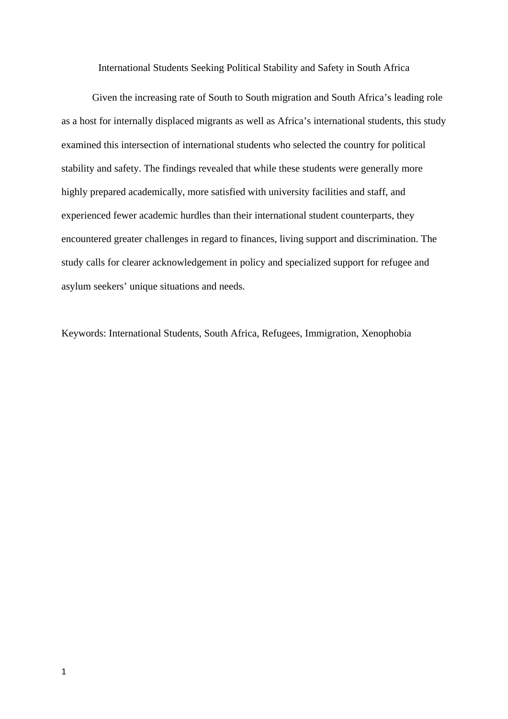International Students Seeking Political Stability and Safety in South Africa

Given the increasing rate of South to South migration and South Africa's leading role as a host for internally displaced migrants as well as Africa's international students, this study examined this intersection of international students who selected the country for political stability and safety. The findings revealed that while these students were generally more highly prepared academically, more satisfied with university facilities and staff, and experienced fewer academic hurdles than their international student counterparts, they encountered greater challenges in regard to finances, living support and discrimination. The study calls for clearer acknowledgement in policy and specialized support for refugee and asylum seekers' unique situations and needs.

Keywords: International Students, South Africa, Refugees, Immigration, Xenophobia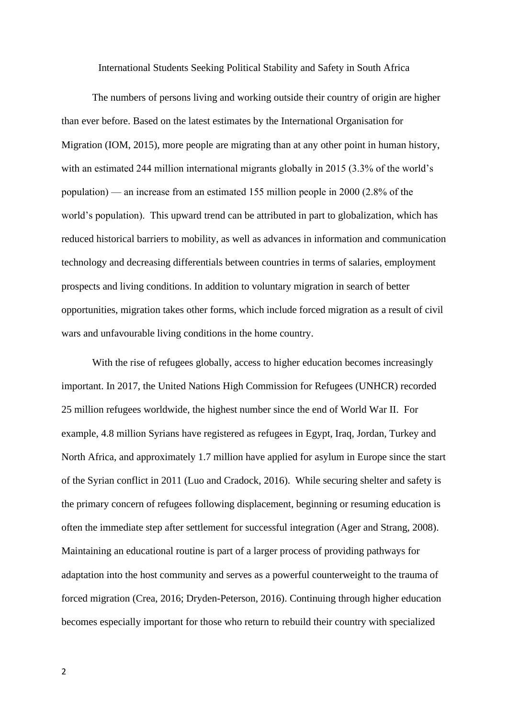International Students Seeking Political Stability and Safety in South Africa

The numbers of persons living and working outside their country of origin are higher than ever before. Based on the latest estimates by the International Organisation for Migration (IOM, 2015), more people are migrating than at any other point in human history, with an estimated 244 million international migrants globally in 2015 (3.3% of the world's population) — an increase from an estimated 155 million people in 2000 (2.8% of the world's population). This upward trend can be attributed in part to globalization, which has reduced historical barriers to mobility, as well as advances in information and communication technology and decreasing differentials between countries in terms of salaries, employment prospects and living conditions. In addition to voluntary migration in search of better opportunities, migration takes other forms, which include forced migration as a result of civil wars and unfavourable living conditions in the home country.

With the rise of refugees globally, access to higher education becomes increasingly important. In 2017, the United Nations High Commission for Refugees (UNHCR) recorded 25 million refugees worldwide, the highest number since the end of World War II. For example, 4.8 million Syrians have registered as refugees in Egypt, Iraq, Jordan, Turkey and North Africa, and approximately 1.7 million have applied for asylum in Europe since the start of the Syrian conflict in 2011 (Luo and Cradock, 2016). While securing shelter and safety is the primary concern of refugees following displacement, beginning or resuming education is often the immediate step after settlement for successful integration (Ager and Strang, 2008). Maintaining an educational routine is part of a larger process of providing pathways for adaptation into the host community and serves as a powerful counterweight to the trauma of forced migration (Crea, 2016; Dryden-Peterson, 2016). Continuing through higher education becomes especially important for those who return to rebuild their country with specialized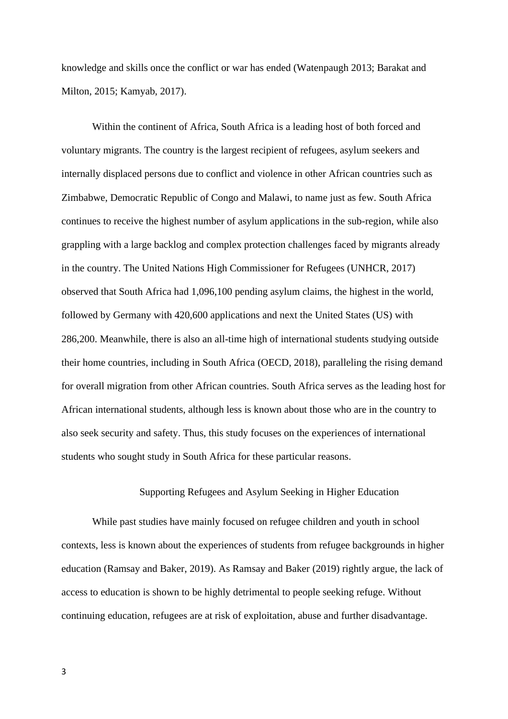knowledge and skills once the conflict or war has ended (Watenpaugh 2013; Barakat and Milton, 2015; Kamyab, 2017).

Within the continent of Africa, South Africa is a leading host of both forced and voluntary migrants. The country is the largest recipient of refugees, asylum seekers and internally displaced persons due to conflict and violence in other African countries such as Zimbabwe, Democratic Republic of Congo and Malawi, to name just as few. South Africa continues to receive the highest number of asylum applications in the sub-region, while also grappling with a large backlog and complex protection challenges faced by migrants already in the country. The United Nations High Commissioner for Refugees (UNHCR, 2017) observed that South Africa had 1,096,100 pending asylum claims, the highest in the world, followed by Germany with 420,600 applications and next the United States (US) with 286,200. Meanwhile, there is also an all-time high of international students studying outside their home countries, including in South Africa (OECD, 2018), paralleling the rising demand for overall migration from other African countries. South Africa serves as the leading host for African international students, although less is known about those who are in the country to also seek security and safety. Thus, this study focuses on the experiences of international students who sought study in South Africa for these particular reasons.

# Supporting Refugees and Asylum Seeking in Higher Education

While past studies have mainly focused on refugee children and youth in school contexts, less is known about the experiences of students from refugee backgrounds in higher education (Ramsay and Baker, 2019). As Ramsay and Baker (2019) rightly argue, the lack of access to education is shown to be highly detrimental to people seeking refuge. Without continuing education, refugees are at risk of exploitation, abuse and further disadvantage.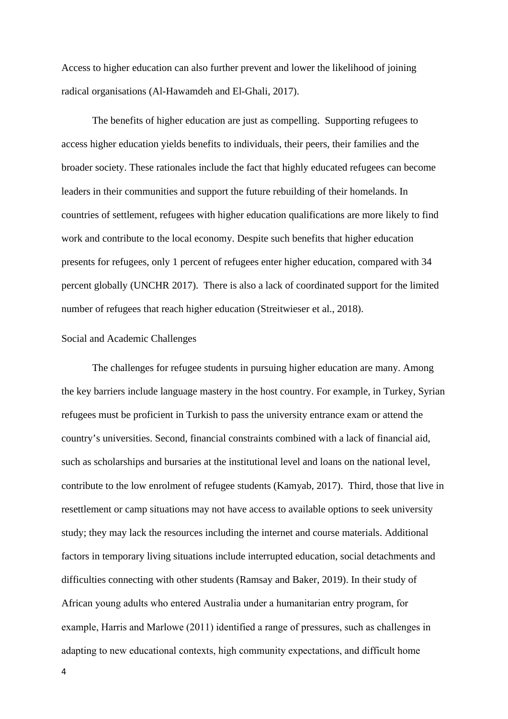Access to higher education can also further prevent and lower the likelihood of joining radical organisations (Al-Hawamdeh and El-Ghali, 2017).

The benefits of higher education are just as compelling. Supporting refugees to access higher education yields benefits to individuals, their peers, their families and the broader society. These rationales include the fact that highly educated refugees can become leaders in their communities and support the future rebuilding of their homelands. In countries of settlement, refugees with higher education qualifications are more likely to find work and contribute to the local economy. Despite such benefits that higher education presents for refugees, only 1 percent of refugees enter higher education, compared with 34 percent globally (UNCHR 2017). There is also a lack of coordinated support for the limited number of refugees that reach higher education (Streitwieser et al., 2018).

## Social and Academic Challenges

The challenges for refugee students in pursuing higher education are many. Among the key barriers include language mastery in the host country. For example, in Turkey, Syrian refugees must be proficient in Turkish to pass the university entrance exam or attend the country's universities. Second, financial constraints combined with a lack of financial aid, such as scholarships and bursaries at the institutional level and loans on the national level, contribute to the low enrolment of refugee students (Kamyab, 2017). Third, those that live in resettlement or camp situations may not have access to available options to seek university study; they may lack the resources including the internet and course materials. Additional factors in temporary living situations include interrupted education, social detachments and difficulties connecting with other students (Ramsay and Baker, 2019). In their study of African young adults who entered Australia under a humanitarian entry program, for example, Harris and Marlowe (2011) identified a range of pressures, such as challenges in adapting to new educational contexts, high community expectations, and difficult home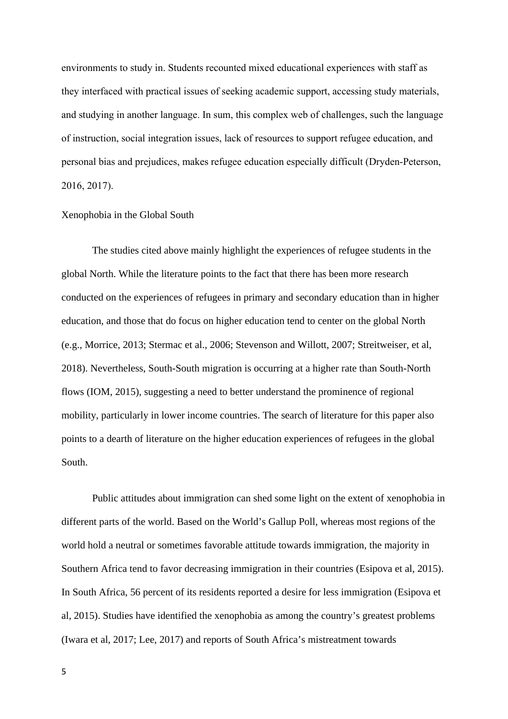environments to study in. Students recounted mixed educational experiences with staff as they interfaced with practical issues of seeking academic support, accessing study materials, and studying in another language. In sum, this complex web of challenges, such the language of instruction, social integration issues, lack of resources to support refugee education, and personal bias and prejudices, makes refugee education especially difficult (Dryden-Peterson, 2016, 2017).

### Xenophobia in the Global South

The studies cited above mainly highlight the experiences of refugee students in the global North. While the literature points to the fact that there has been more research conducted on the experiences of refugees in primary and secondary education than in higher education, and those that do focus on higher education tend to center on the global North (e.g., Morrice, 2013; Stermac et al., 2006; Stevenson and Willott, 2007; Streitweiser, et al, 2018). Nevertheless, South-South migration is occurring at a higher rate than South-North flows (IOM, 2015), suggesting a need to better understand the prominence of regional mobility, particularly in lower income countries. The search of literature for this paper also points to a dearth of literature on the higher education experiences of refugees in the global South.

Public attitudes about immigration can shed some light on the extent of xenophobia in different parts of the world. Based on the World's Gallup Poll, whereas most regions of the world hold a neutral or sometimes favorable attitude towards immigration, the majority in Southern Africa tend to favor decreasing immigration in their countries (Esipova et al, 2015). In South Africa, 56 percent of its residents reported a desire for less immigration (Esipova et al, 2015). Studies have identified the xenophobia as among the country's greatest problems (Iwara et al, 2017; Lee, 2017) and reports of South Africa's mistreatment towards

5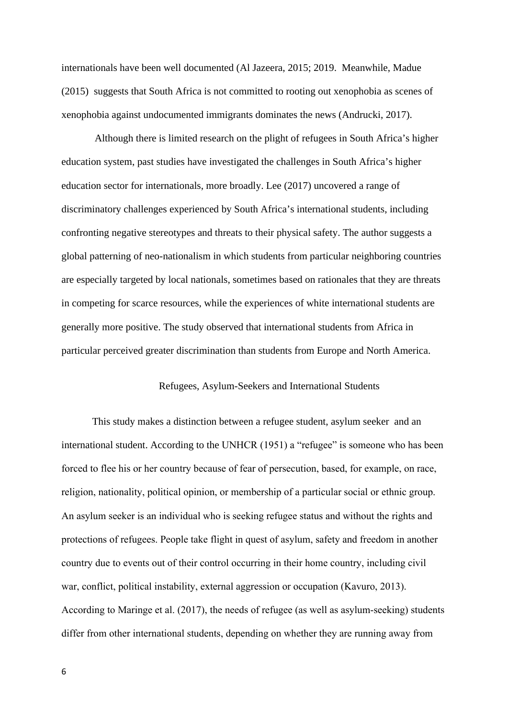internationals have been well documented (Al Jazeera, 2015; 2019. Meanwhile, Madue (2015) suggests that South Africa is not committed to rooting out xenophobia as scenes of xenophobia against undocumented immigrants dominates the news (Andrucki, 2017).

 Although there is limited research on the plight of refugees in South Africa's higher education system, past studies have investigated the challenges in South Africa's higher education sector for internationals, more broadly. Lee (2017) uncovered a range of discriminatory challenges experienced by South Africa's international students, including confronting negative stereotypes and threats to their physical safety. The author suggests a global patterning of neo-nationalism in which students from particular neighboring countries are especially targeted by local nationals, sometimes based on rationales that they are threats in competing for scarce resources, while the experiences of white international students are generally more positive. The study observed that international students from Africa in particular perceived greater discrimination than students from Europe and North America.

### Refugees, Asylum-Seekers and International Students

This study makes a distinction between a refugee student, asylum seeker and an international student. According to the UNHCR (1951) a "refugee" is someone who has been forced to flee his or her country because of fear of persecution, based, for example, on race, religion, nationality, political opinion, or membership of a particular social or ethnic group. An asylum seeker is an individual who is seeking refugee status and without the rights and protections of refugees. People take flight in quest of asylum, safety and freedom in another country due to events out of their control occurring in their home country, including civil war, conflict, political instability, external aggression or occupation (Kavuro, 2013). According to Maringe et al. (2017), the needs of refugee (as well as asylum-seeking) students differ from other international students, depending on whether they are running away from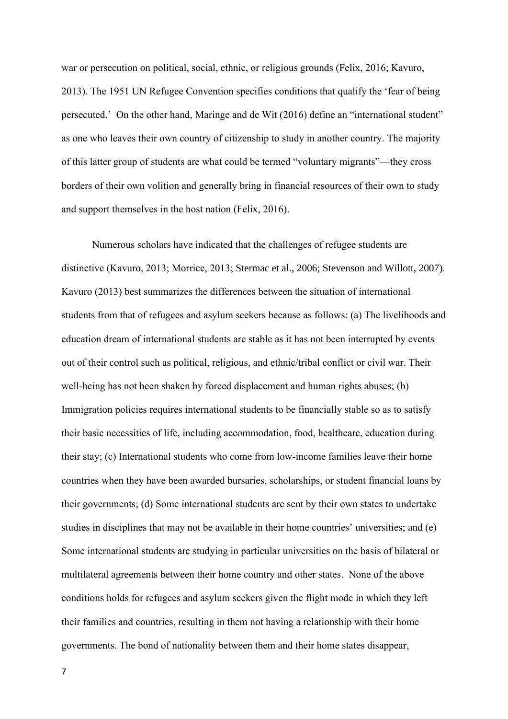war or persecution on political, social, ethnic, or religious grounds (Felix, 2016; Kavuro, 2013). The 1951 UN Refugee Convention specifies conditions that qualify the 'fear of being persecuted.' On the other hand, Maringe and de Wit (2016) define an "international student" as one who leaves their own country of citizenship to study in another country. The majority of this latter group of students are what could be termed "voluntary migrants"—they cross borders of their own volition and generally bring in financial resources of their own to study and support themselves in the host nation (Felix, 2016).

Numerous scholars have indicated that the challenges of refugee students are distinctive (Kavuro, 2013; Morrice, 2013; Stermac et al., 2006; Stevenson and Willott, 2007). Kavuro (2013) best summarizes the differences between the situation of international students from that of refugees and asylum seekers because as follows: (a) The livelihoods and education dream of international students are stable as it has not been interrupted by events out of their control such as political, religious, and ethnic/tribal conflict or civil war. Their well-being has not been shaken by forced displacement and human rights abuses; (b) Immigration policies requires international students to be financially stable so as to satisfy their basic necessities of life, including accommodation, food, healthcare, education during their stay; (c) International students who come from low-income families leave their home countries when they have been awarded bursaries, scholarships, or student financial loans by their governments; (d) Some international students are sent by their own states to undertake studies in disciplines that may not be available in their home countries' universities; and (e) Some international students are studying in particular universities on the basis of bilateral or multilateral agreements between their home country and other states. None of the above conditions holds for refugees and asylum seekers given the flight mode in which they left their families and countries, resulting in them not having a relationship with their home governments. The bond of nationality between them and their home states disappear,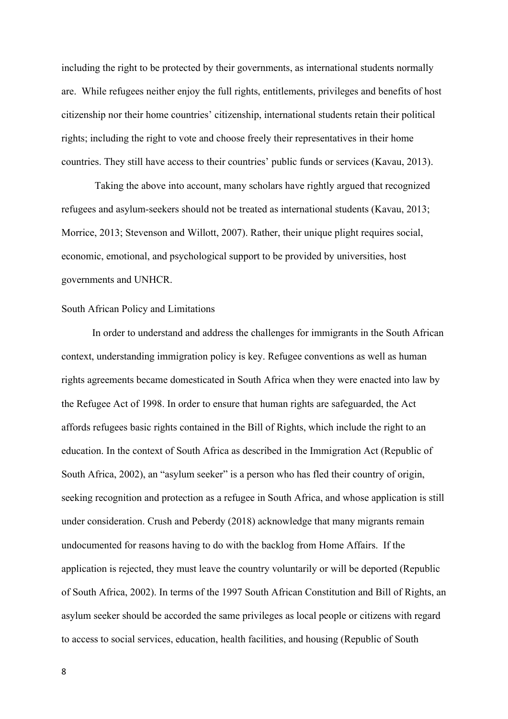including the right to be protected by their governments, as international students normally are. While refugees neither enjoy the full rights, entitlements, privileges and benefits of host citizenship nor their home countries' citizenship, international students retain their political rights; including the right to vote and choose freely their representatives in their home countries. They still have access to their countries' public funds or services (Kavau, 2013).

 Taking the above into account, many scholars have rightly argued that recognized refugees and asylum-seekers should not be treated as international students (Kavau, 2013; Morrice, 2013; Stevenson and Willott, 2007). Rather, their unique plight requires social, economic, emotional, and psychological support to be provided by universities, host governments and UNHCR.

#### South African Policy and Limitations

In order to understand and address the challenges for immigrants in the South African context, understanding immigration policy is key. Refugee conventions as well as human rights agreements became domesticated in South Africa when they were enacted into law by the Refugee Act of 1998. In order to ensure that human rights are safeguarded, the Act affords refugees basic rights contained in the Bill of Rights, which include the right to an education. In the context of South Africa as described in the Immigration Act (Republic of South Africa, 2002), an "asylum seeker" is a person who has fled their country of origin, seeking recognition and protection as a refugee in South Africa, and whose application is still under consideration. Crush and Peberdy (2018) acknowledge that many migrants remain undocumented for reasons having to do with the backlog from Home Affairs. If the application is rejected, they must leave the country voluntarily or will be deported (Republic of South Africa, 2002). In terms of the 1997 South African Constitution and Bill of Rights, an asylum seeker should be accorded the same privileges as local people or citizens with regard to access to social services, education, health facilities, and housing (Republic of South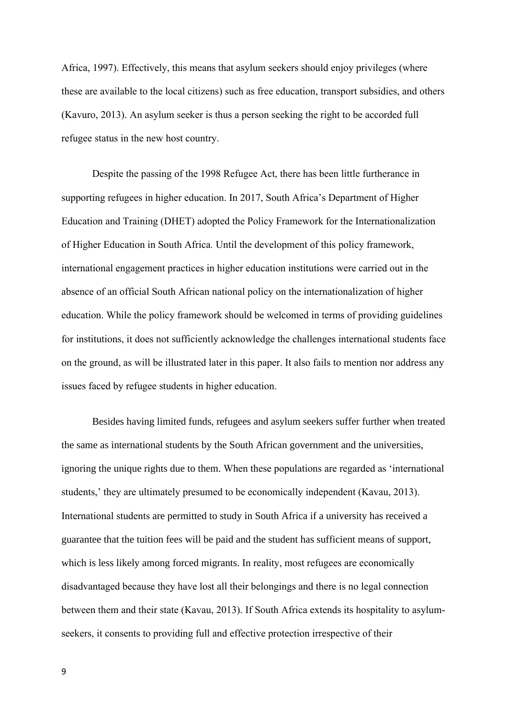Africa, 1997). Effectively, this means that asylum seekers should enjoy privileges (where these are available to the local citizens) such as free education, transport subsidies, and others (Kavuro, 2013). An asylum seeker is thus a person seeking the right to be accorded full refugee status in the new host country.

Despite the passing of the 1998 Refugee Act, there has been little furtherance in supporting refugees in higher education. In 2017, South Africa's Department of Higher Education and Training (DHET) adopted the Policy Framework for the Internationalization of Higher Education in South Africa*.* Until the development of this policy framework, international engagement practices in higher education institutions were carried out in the absence of an official South African national policy on the internationalization of higher education. While the policy framework should be welcomed in terms of providing guidelines for institutions, it does not sufficiently acknowledge the challenges international students face on the ground, as will be illustrated later in this paper. It also fails to mention nor address any issues faced by refugee students in higher education.

Besides having limited funds, refugees and asylum seekers suffer further when treated the same as international students by the South African government and the universities, ignoring the unique rights due to them. When these populations are regarded as 'international students,' they are ultimately presumed to be economically independent (Kavau, 2013). International students are permitted to study in South Africa if a university has received a guarantee that the tuition fees will be paid and the student has sufficient means of support, which is less likely among forced migrants. In reality, most refugees are economically disadvantaged because they have lost all their belongings and there is no legal connection between them and their state (Kavau, 2013). If South Africa extends its hospitality to asylumseekers, it consents to providing full and effective protection irrespective of their

9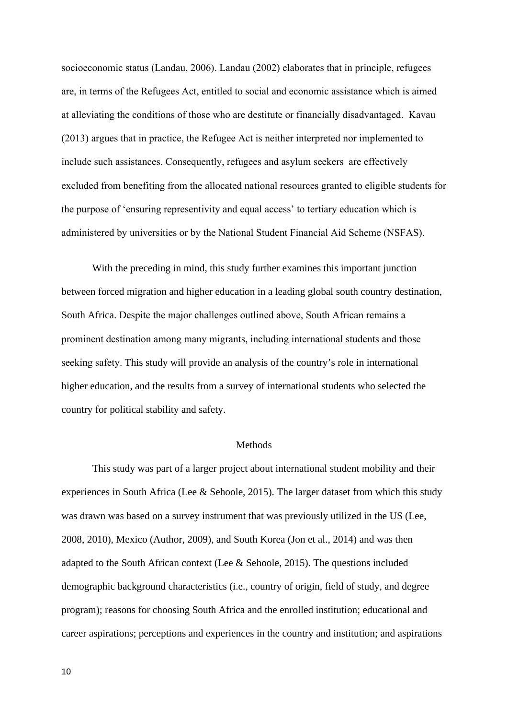socioeconomic status (Landau, 2006). Landau (2002) elaborates that in principle, refugees are, in terms of the Refugees Act, entitled to social and economic assistance which is aimed at alleviating the conditions of those who are destitute or financially disadvantaged. Kavau (2013) argues that in practice, the Refugee Act is neither interpreted nor implemented to include such assistances. Consequently, refugees and asylum seekers are effectively excluded from benefiting from the allocated national resources granted to eligible students for the purpose of 'ensuring representivity and equal access' to tertiary education which is administered by universities or by the National Student Financial Aid Scheme (NSFAS).

With the preceding in mind, this study further examines this important junction between forced migration and higher education in a leading global south country destination, South Africa. Despite the major challenges outlined above, South African remains a prominent destination among many migrants, including international students and those seeking safety. This study will provide an analysis of the country's role in international higher education, and the results from a survey of international students who selected the country for political stability and safety.

# Methods

This study was part of a larger project about international student mobility and their experiences in South Africa (Lee & Sehoole, 2015). The larger dataset from which this study was drawn was based on a survey instrument that was previously utilized in the US (Lee, 2008, 2010), Mexico (Author, 2009), and South Korea (Jon et al., 2014) and was then adapted to the South African context (Lee & Sehoole, 2015). The questions included demographic background characteristics (i.e., country of origin, field of study, and degree program); reasons for choosing South Africa and the enrolled institution; educational and career aspirations; perceptions and experiences in the country and institution; and aspirations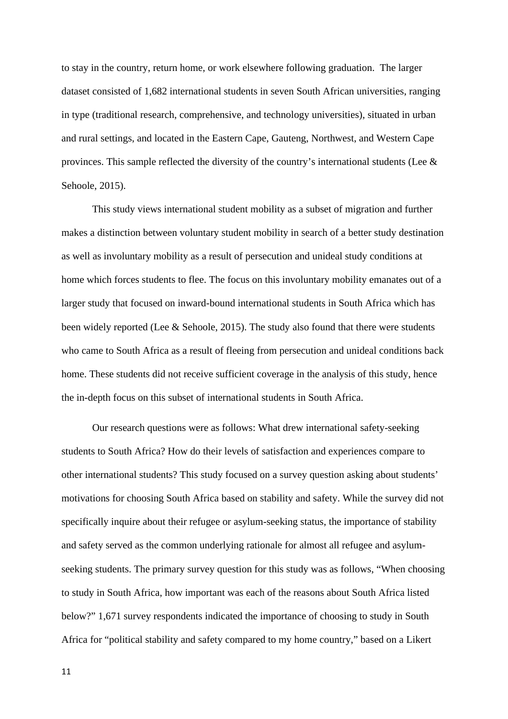to stay in the country, return home, or work elsewhere following graduation. The larger dataset consisted of 1,682 international students in seven South African universities, ranging in type (traditional research, comprehensive, and technology universities), situated in urban and rural settings, and located in the Eastern Cape, Gauteng, Northwest, and Western Cape provinces. This sample reflected the diversity of the country's international students (Lee & Sehoole, 2015).

This study views international student mobility as a subset of migration and further makes a distinction between voluntary student mobility in search of a better study destination as well as involuntary mobility as a result of persecution and unideal study conditions at home which forces students to flee. The focus on this involuntary mobility emanates out of a larger study that focused on inward-bound international students in South Africa which has been widely reported (Lee & Sehoole, 2015). The study also found that there were students who came to South Africa as a result of fleeing from persecution and unideal conditions back home. These students did not receive sufficient coverage in the analysis of this study, hence the in-depth focus on this subset of international students in South Africa.

Our research questions were as follows: What drew international safety-seeking students to South Africa? How do their levels of satisfaction and experiences compare to other international students? This study focused on a survey question asking about students' motivations for choosing South Africa based on stability and safety. While the survey did not specifically inquire about their refugee or asylum-seeking status, the importance of stability and safety served as the common underlying rationale for almost all refugee and asylumseeking students. The primary survey question for this study was as follows, "When choosing to study in South Africa, how important was each of the reasons about South Africa listed below?" 1,671 survey respondents indicated the importance of choosing to study in South Africa for "political stability and safety compared to my home country," based on a Likert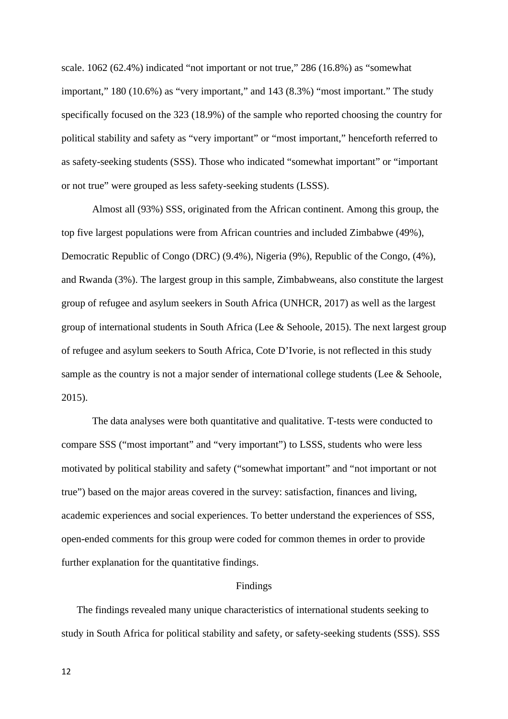scale. 1062 (62.4%) indicated "not important or not true," 286 (16.8%) as "somewhat important," 180 (10.6%) as "very important," and 143 (8.3%) "most important." The study specifically focused on the 323 (18.9%) of the sample who reported choosing the country for political stability and safety as "very important" or "most important," henceforth referred to as safety-seeking students (SSS). Those who indicated "somewhat important" or "important or not true" were grouped as less safety-seeking students (LSSS).

Almost all (93%) SSS, originated from the African continent. Among this group, the top five largest populations were from African countries and included Zimbabwe (49%), Democratic Republic of Congo (DRC) (9.4%), Nigeria (9%), Republic of the Congo, (4%), and Rwanda (3%). The largest group in this sample, Zimbabweans, also constitute the largest group of refugee and asylum seekers in South Africa (UNHCR, 2017) as well as the largest group of international students in South Africa (Lee & Sehoole, 2015). The next largest group of refugee and asylum seekers to South Africa, Cote D'Ivorie, is not reflected in this study sample as the country is not a major sender of international college students (Lee & Sehoole, 2015).

The data analyses were both quantitative and qualitative. T-tests were conducted to compare SSS ("most important" and "very important") to LSSS, students who were less motivated by political stability and safety ("somewhat important" and "not important or not true") based on the major areas covered in the survey: satisfaction, finances and living, academic experiences and social experiences. To better understand the experiences of SSS, open-ended comments for this group were coded for common themes in order to provide further explanation for the quantitative findings.

## Findings

The findings revealed many unique characteristics of international students seeking to study in South Africa for political stability and safety, or safety-seeking students (SSS). SSS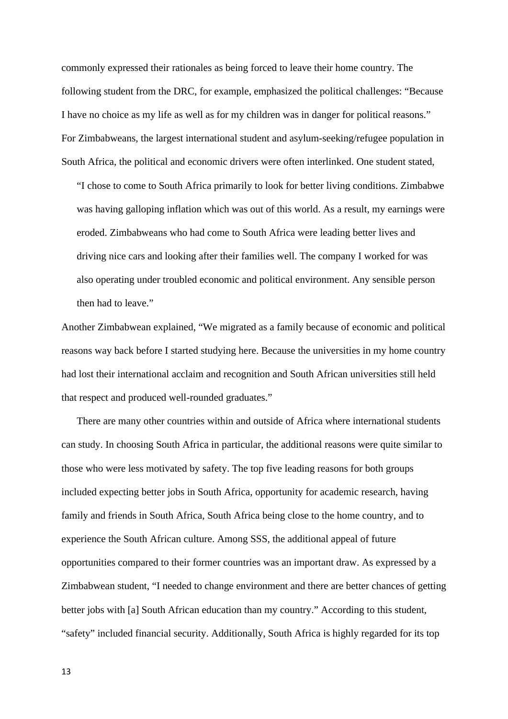commonly expressed their rationales as being forced to leave their home country. The following student from the DRC, for example, emphasized the political challenges: "Because I have no choice as my life as well as for my children was in danger for political reasons." For Zimbabweans, the largest international student and asylum-seeking/refugee population in South Africa, the political and economic drivers were often interlinked. One student stated,

"I chose to come to South Africa primarily to look for better living conditions. Zimbabwe was having galloping inflation which was out of this world. As a result, my earnings were eroded. Zimbabweans who had come to South Africa were leading better lives and driving nice cars and looking after their families well. The company I worked for was also operating under troubled economic and political environment. Any sensible person then had to leave."

Another Zimbabwean explained, "We migrated as a family because of economic and political reasons way back before I started studying here. Because the universities in my home country had lost their international acclaim and recognition and South African universities still held that respect and produced well-rounded graduates."

There are many other countries within and outside of Africa where international students can study. In choosing South Africa in particular, the additional reasons were quite similar to those who were less motivated by safety. The top five leading reasons for both groups included expecting better jobs in South Africa, opportunity for academic research, having family and friends in South Africa, South Africa being close to the home country, and to experience the South African culture. Among SSS, the additional appeal of future opportunities compared to their former countries was an important draw. As expressed by a Zimbabwean student, "I needed to change environment and there are better chances of getting better jobs with [a] South African education than my country." According to this student, "safety" included financial security. Additionally, South Africa is highly regarded for its top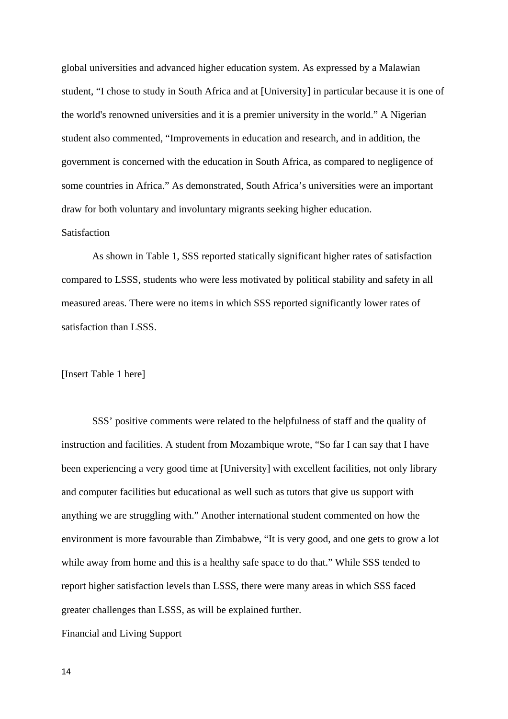global universities and advanced higher education system. As expressed by a Malawian student, "I chose to study in South Africa and at [University] in particular because it is one of the world's renowned universities and it is a premier university in the world." A Nigerian student also commented, "Improvements in education and research, and in addition, the government is concerned with the education in South Africa, as compared to negligence of some countries in Africa." As demonstrated, South Africa's universities were an important draw for both voluntary and involuntary migrants seeking higher education. **Satisfaction** 

As shown in Table 1, SSS reported statically significant higher rates of satisfaction compared to LSSS, students who were less motivated by political stability and safety in all measured areas. There were no items in which SSS reported significantly lower rates of satisfaction than LSSS.

### [Insert Table 1 here]

SSS' positive comments were related to the helpfulness of staff and the quality of instruction and facilities. A student from Mozambique wrote, "So far I can say that I have been experiencing a very good time at [University] with excellent facilities, not only library and computer facilities but educational as well such as tutors that give us support with anything we are struggling with." Another international student commented on how the environment is more favourable than Zimbabwe, "It is very good, and one gets to grow a lot while away from home and this is a healthy safe space to do that." While SSS tended to report higher satisfaction levels than LSSS, there were many areas in which SSS faced greater challenges than LSSS, as will be explained further.

Financial and Living Support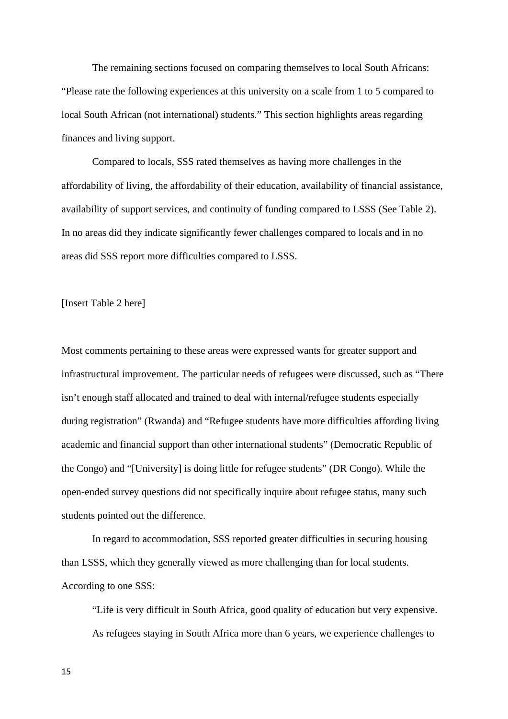The remaining sections focused on comparing themselves to local South Africans: "Please rate the following experiences at this university on a scale from 1 to 5 compared to local South African (not international) students." This section highlights areas regarding finances and living support.

Compared to locals, SSS rated themselves as having more challenges in the affordability of living, the affordability of their education, availability of financial assistance, availability of support services, and continuity of funding compared to LSSS (See Table 2). In no areas did they indicate significantly fewer challenges compared to locals and in no areas did SSS report more difficulties compared to LSSS.

[Insert Table 2 here]

Most comments pertaining to these areas were expressed wants for greater support and infrastructural improvement. The particular needs of refugees were discussed, such as "There isn't enough staff allocated and trained to deal with internal/refugee students especially during registration" (Rwanda) and "Refugee students have more difficulties affording living academic and financial support than other international students" (Democratic Republic of the Congo) and "[University] is doing little for refugee students" (DR Congo). While the open-ended survey questions did not specifically inquire about refugee status, many such students pointed out the difference.

In regard to accommodation, SSS reported greater difficulties in securing housing than LSSS, which they generally viewed as more challenging than for local students. According to one SSS:

"Life is very difficult in South Africa, good quality of education but very expensive. As refugees staying in South Africa more than 6 years, we experience challenges to

15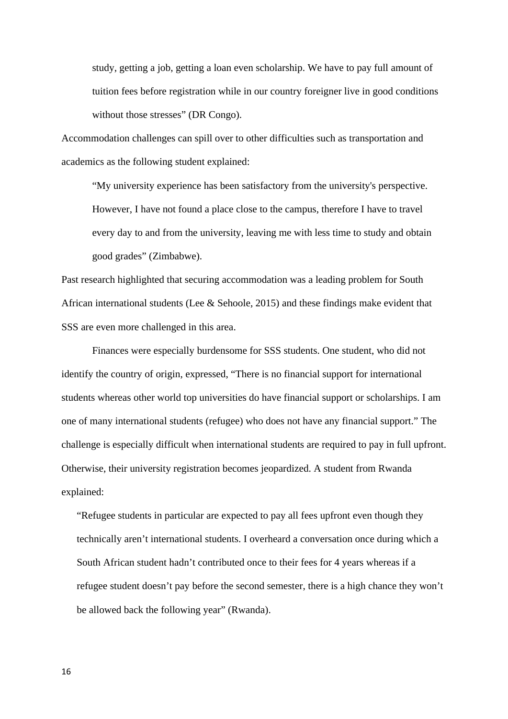study, getting a job, getting a loan even scholarship. We have to pay full amount of tuition fees before registration while in our country foreigner live in good conditions without those stresses" (DR Congo).

Accommodation challenges can spill over to other difficulties such as transportation and academics as the following student explained:

"My university experience has been satisfactory from the university's perspective. However, I have not found a place close to the campus, therefore I have to travel every day to and from the university, leaving me with less time to study and obtain good grades" (Zimbabwe).

Past research highlighted that securing accommodation was a leading problem for South African international students (Lee & Sehoole, 2015) and these findings make evident that SSS are even more challenged in this area.

Finances were especially burdensome for SSS students. One student, who did not identify the country of origin, expressed, "There is no financial support for international students whereas other world top universities do have financial support or scholarships. I am one of many international students (refugee) who does not have any financial support." The challenge is especially difficult when international students are required to pay in full upfront. Otherwise, their university registration becomes jeopardized. A student from Rwanda explained:

"Refugee students in particular are expected to pay all fees upfront even though they technically aren't international students. I overheard a conversation once during which a South African student hadn't contributed once to their fees for 4 years whereas if a refugee student doesn't pay before the second semester, there is a high chance they won't be allowed back the following year" (Rwanda).

16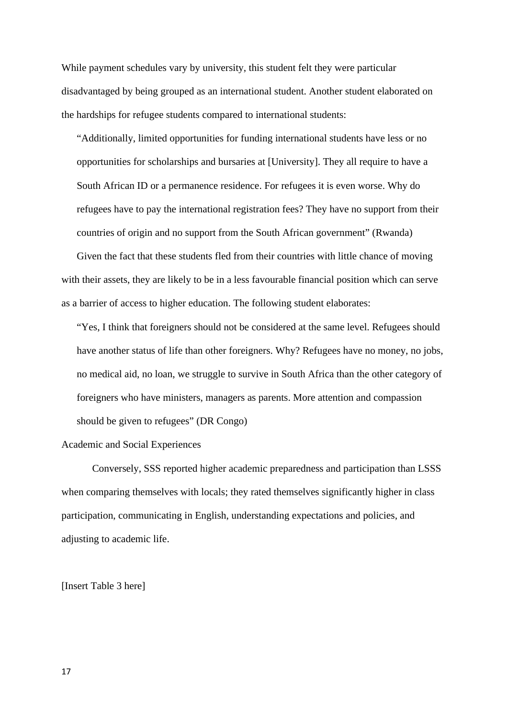While payment schedules vary by university, this student felt they were particular disadvantaged by being grouped as an international student. Another student elaborated on the hardships for refugee students compared to international students:

"Additionally, limited opportunities for funding international students have less or no opportunities for scholarships and bursaries at [University]. They all require to have a South African ID or a permanence residence. For refugees it is even worse. Why do refugees have to pay the international registration fees? They have no support from their countries of origin and no support from the South African government" (Rwanda)

Given the fact that these students fled from their countries with little chance of moving with their assets, they are likely to be in a less favourable financial position which can serve as a barrier of access to higher education. The following student elaborates:

"Yes, I think that foreigners should not be considered at the same level. Refugees should have another status of life than other foreigners. Why? Refugees have no money, no jobs, no medical aid, no loan, we struggle to survive in South Africa than the other category of foreigners who have ministers, managers as parents. More attention and compassion should be given to refugees" (DR Congo)

# Academic and Social Experiences

Conversely, SSS reported higher academic preparedness and participation than LSSS when comparing themselves with locals; they rated themselves significantly higher in class participation, communicating in English, understanding expectations and policies, and adjusting to academic life.

[Insert Table 3 here]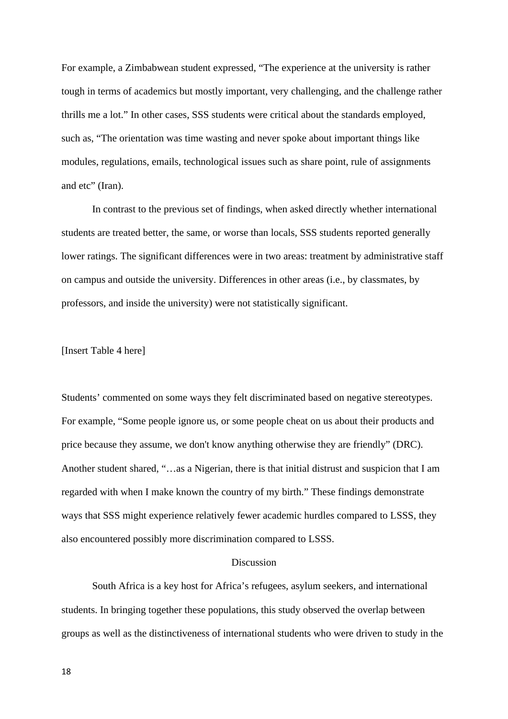For example, a Zimbabwean student expressed, "The experience at the university is rather tough in terms of academics but mostly important, very challenging, and the challenge rather thrills me a lot." In other cases, SSS students were critical about the standards employed, such as, "The orientation was time wasting and never spoke about important things like modules, regulations, emails, technological issues such as share point, rule of assignments and etc" (Iran).

In contrast to the previous set of findings, when asked directly whether international students are treated better, the same, or worse than locals, SSS students reported generally lower ratings. The significant differences were in two areas: treatment by administrative staff on campus and outside the university. Differences in other areas (i.e., by classmates, by professors, and inside the university) were not statistically significant.

[Insert Table 4 here]

Students' commented on some ways they felt discriminated based on negative stereotypes. For example, "Some people ignore us, or some people cheat on us about their products and price because they assume, we don't know anything otherwise they are friendly" (DRC). Another student shared, "…as a Nigerian, there is that initial distrust and suspicion that I am regarded with when I make known the country of my birth." These findings demonstrate ways that SSS might experience relatively fewer academic hurdles compared to LSSS, they also encountered possibly more discrimination compared to LSSS.

## Discussion

South Africa is a key host for Africa's refugees, asylum seekers, and international students. In bringing together these populations, this study observed the overlap between groups as well as the distinctiveness of international students who were driven to study in the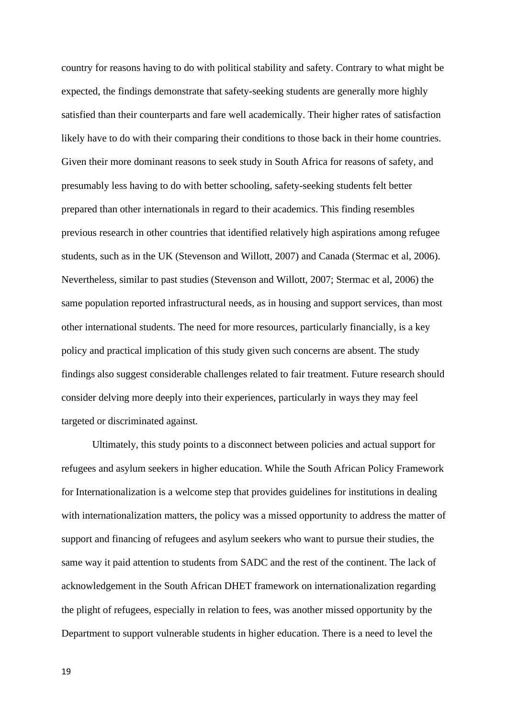country for reasons having to do with political stability and safety. Contrary to what might be expected, the findings demonstrate that safety-seeking students are generally more highly satisfied than their counterparts and fare well academically. Their higher rates of satisfaction likely have to do with their comparing their conditions to those back in their home countries. Given their more dominant reasons to seek study in South Africa for reasons of safety, and presumably less having to do with better schooling, safety-seeking students felt better prepared than other internationals in regard to their academics. This finding resembles previous research in other countries that identified relatively high aspirations among refugee students, such as in the UK (Stevenson and Willott, 2007) and Canada (Stermac et al, 2006). Nevertheless, similar to past studies (Stevenson and Willott, 2007; Stermac et al, 2006) the same population reported infrastructural needs, as in housing and support services, than most other international students. The need for more resources, particularly financially, is a key policy and practical implication of this study given such concerns are absent. The study findings also suggest considerable challenges related to fair treatment. Future research should consider delving more deeply into their experiences, particularly in ways they may feel targeted or discriminated against.

Ultimately, this study points to a disconnect between policies and actual support for refugees and asylum seekers in higher education. While the South African Policy Framework for Internationalization is a welcome step that provides guidelines for institutions in dealing with internationalization matters, the policy was a missed opportunity to address the matter of support and financing of refugees and asylum seekers who want to pursue their studies, the same way it paid attention to students from SADC and the rest of the continent. The lack of acknowledgement in the South African DHET framework on internationalization regarding the plight of refugees, especially in relation to fees, was another missed opportunity by the Department to support vulnerable students in higher education. There is a need to level the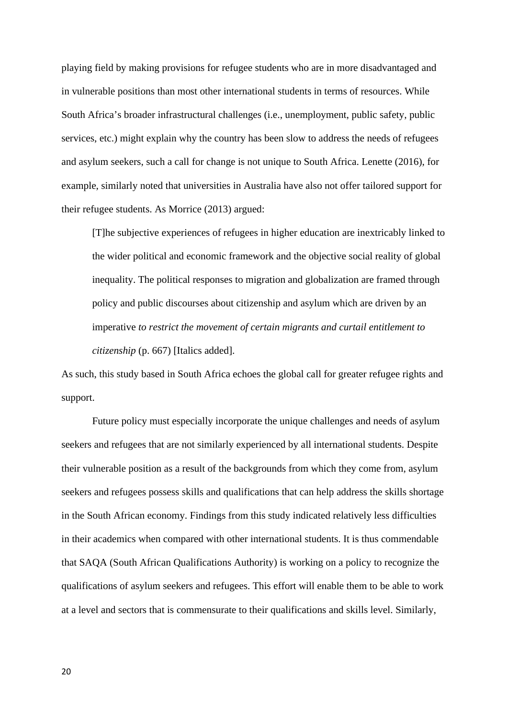playing field by making provisions for refugee students who are in more disadvantaged and in vulnerable positions than most other international students in terms of resources. While South Africa's broader infrastructural challenges (i.e., unemployment, public safety, public services, etc.) might explain why the country has been slow to address the needs of refugees and asylum seekers, such a call for change is not unique to South Africa. Lenette (2016), for example, similarly noted that universities in Australia have also not offer tailored support for their refugee students. As Morrice (2013) argued:

[T]he subjective experiences of refugees in higher education are inextricably linked to the wider political and economic framework and the objective social reality of global inequality. The political responses to migration and globalization are framed through policy and public discourses about citizenship and asylum which are driven by an imperative *to restrict the movement of certain migrants and curtail entitlement to citizenship* (p. 667) [Italics added].

As such, this study based in South Africa echoes the global call for greater refugee rights and support.

Future policy must especially incorporate the unique challenges and needs of asylum seekers and refugees that are not similarly experienced by all international students. Despite their vulnerable position as a result of the backgrounds from which they come from, asylum seekers and refugees possess skills and qualifications that can help address the skills shortage in the South African economy. Findings from this study indicated relatively less difficulties in their academics when compared with other international students. It is thus commendable that SAQA (South African Qualifications Authority) is working on a policy to recognize the qualifications of asylum seekers and refugees. This effort will enable them to be able to work at a level and sectors that is commensurate to their qualifications and skills level. Similarly,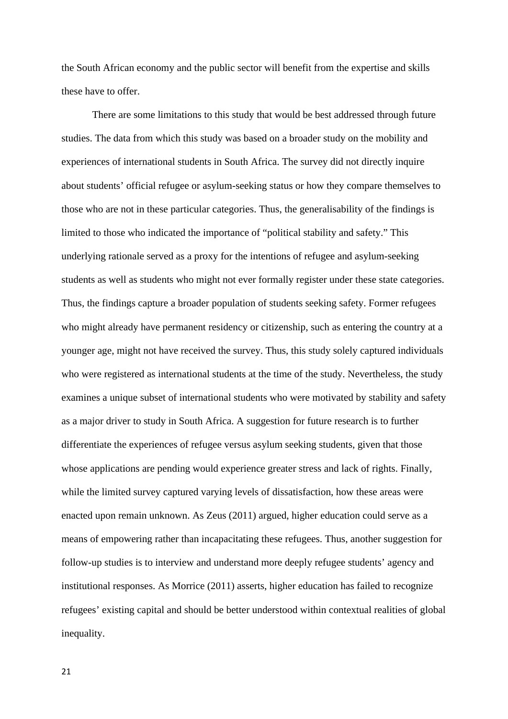the South African economy and the public sector will benefit from the expertise and skills these have to offer.

There are some limitations to this study that would be best addressed through future studies. The data from which this study was based on a broader study on the mobility and experiences of international students in South Africa. The survey did not directly inquire about students' official refugee or asylum-seeking status or how they compare themselves to those who are not in these particular categories. Thus, the generalisability of the findings is limited to those who indicated the importance of "political stability and safety." This underlying rationale served as a proxy for the intentions of refugee and asylum-seeking students as well as students who might not ever formally register under these state categories. Thus, the findings capture a broader population of students seeking safety. Former refugees who might already have permanent residency or citizenship, such as entering the country at a younger age, might not have received the survey. Thus, this study solely captured individuals who were registered as international students at the time of the study. Nevertheless, the study examines a unique subset of international students who were motivated by stability and safety as a major driver to study in South Africa. A suggestion for future research is to further differentiate the experiences of refugee versus asylum seeking students, given that those whose applications are pending would experience greater stress and lack of rights. Finally, while the limited survey captured varying levels of dissatisfaction, how these areas were enacted upon remain unknown. As Zeus (2011) argued, higher education could serve as a means of empowering rather than incapacitating these refugees. Thus, another suggestion for follow-up studies is to interview and understand more deeply refugee students' agency and institutional responses. As Morrice (2011) asserts, higher education has failed to recognize refugees' existing capital and should be better understood within contextual realities of global inequality.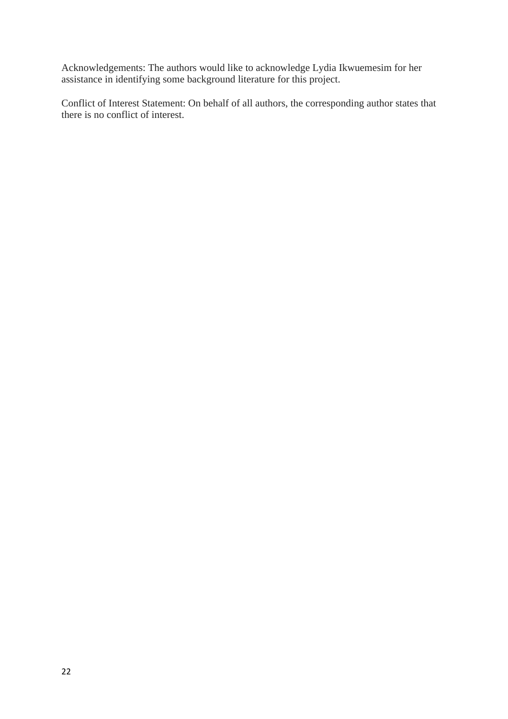Acknowledgements: The authors would like to acknowledge Lydia Ikwuemesim for her assistance in identifying some background literature for this project.

Conflict of Interest Statement: On behalf of all authors, the corresponding author states that there is no conflict of interest.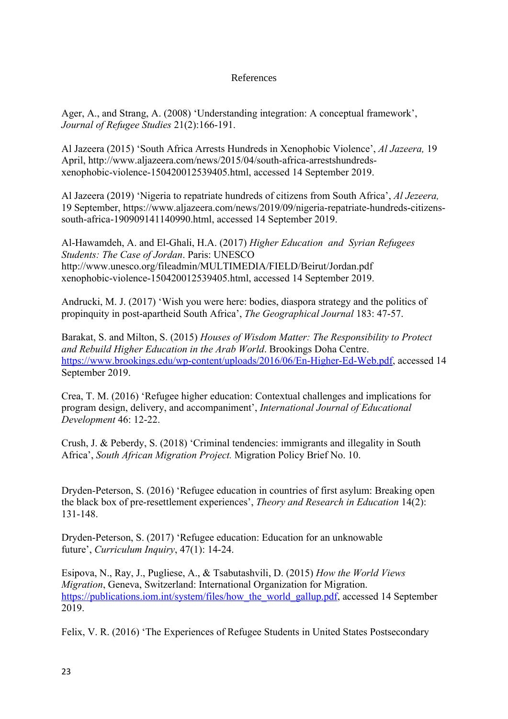# References

Ager, A., and Strang, A. (2008) 'Understanding integration: A conceptual framework', *Journal of Refugee Studies* 21(2):166-191.

Al Jazeera (2015) 'South Africa Arrests Hundreds in Xenophobic Violence', *Al Jazeera,* 19 April, http://www.aljazeera.com/news/2015/04/south-africa-arrestshundredsxenophobic-violence-150420012539405.html, accessed 14 September 2019.

Al Jazeera (2019) 'Nigeria to repatriate hundreds of citizens from South Africa', *Al Jezeera,*  19 September, https://www.aljazeera.com/news/2019/09/nigeria-repatriate-hundreds-citizenssouth-africa-190909141140990.html, accessed 14 September 2019.

Al-Hawamdeh, A. and El-Ghali, H.A. (2017) *Higher Education and Syrian Refugees Students: The Case of Jordan*. Paris: UNESCO http://www.unesco.org/fileadmin/MULTIMEDIA/FIELD/Beirut/Jordan.pdf xenophobic-violence-150420012539405.html, accessed 14 September 2019.

Andrucki, M. J. (2017) 'Wish you were here: bodies, diaspora strategy and the politics of propinquity in post-apartheid South Africa', *The Geographical Journal* 183: 47-57.

Barakat, S. and Milton, S. (2015) *Houses of Wisdom Matter: The Responsibility to Protect and Rebuild Higher Education in the Arab World*. Brookings Doha Centre. https://www.brookings.edu/wp-content/uploads/2016/06/En-Higher-Ed-Web.pdf, accessed 14 September 2019.

Crea, T. M. (2016) 'Refugee higher education: Contextual challenges and implications for program design, delivery, and accompaniment', *International Journal of Educational Development* 46: 12-22.

Crush, J. & Peberdy, S. (2018) 'Criminal tendencies: immigrants and illegality in South Africa', *South African Migration Project.* Migration Policy Brief No. 10.

Dryden-Peterson, S. (2016) 'Refugee education in countries of first asylum: Breaking open the black box of pre-resettlement experiences', *Theory and Research in Education* 14(2): 131-148.

Dryden-Peterson, S. (2017) 'Refugee education: Education for an unknowable future', *Curriculum Inquiry*, 47(1): 14-24.

Esipova, N., Ray, J., Pugliese, A., & Tsabutashvili, D. (2015) *How the World Views Migration*, Geneva, Switzerland: International Organization for Migration. https://publications.iom.int/system/files/how the world gallup.pdf, accessed 14 September 2019.

Felix, V. R. (2016) 'The Experiences of Refugee Students in United States Postsecondary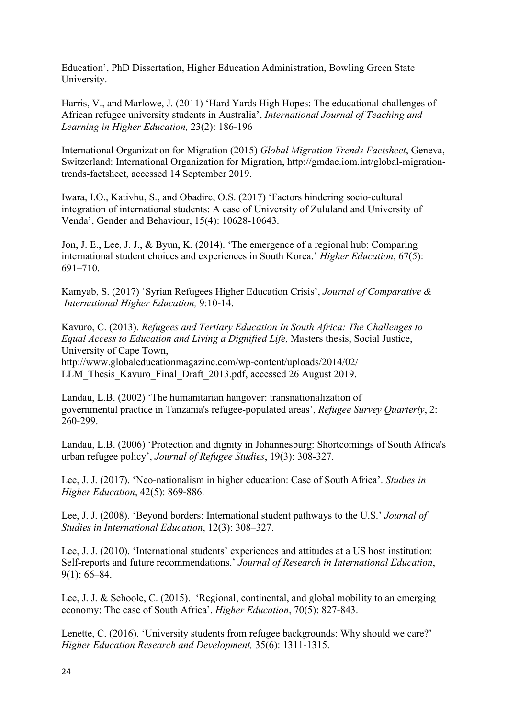Education', PhD Dissertation, Higher Education Administration, Bowling Green State University.

Harris, V., and Marlowe, J. (2011) 'Hard Yards High Hopes: The educational challenges of African refugee university students in Australia', *International Journal of Teaching and Learning in Higher Education,* 23(2): 186-196

International Organization for Migration (2015) *Global Migration Trends Factsheet*, Geneva, Switzerland: International Organization for Migration, http://gmdac.iom.int/global-migrationtrends-factsheet, accessed 14 September 2019.

Iwara, I.O., Kativhu, S., and Obadire, O.S. (2017) 'Factors hindering socio-cultural integration of international students: A case of University of Zululand and University of Venda', Gender and Behaviour, 15(4): 10628-10643.

Jon, J. E., Lee, J. J., & Byun, K. (2014). 'The emergence of a regional hub: Comparing international student choices and experiences in South Korea.' *Higher Education*, 67(5): 691–710.

Kamyab, S. (2017) 'Syrian Refugees Higher Education Crisis', *Journal of Comparative & International Higher Education,* 9:10-14.

Kavuro, C. (2013). *Refugees and Tertiary Education In South Africa: The Challenges to Equal Access to Education and Living a Dignified Life,* Masters thesis, Social Justice, University of Cape Town,

http://www.globaleducationmagazine.com/wp-content/uploads/2014/02/ LLM\_Thesis\_Kavuro\_Final\_Draft\_2013.pdf, accessed 26 August 2019.

Landau, L.B. (2002) 'The humanitarian hangover: transnationalization of governmental practice in Tanzania's refugee-populated areas', *Refugee Survey Quarterly*, 2: 260-299.

Landau, L.B. (2006) 'Protection and dignity in Johannesburg: Shortcomings of South Africa's urban refugee policy', *Journal of Refugee Studies*, 19(3): 308-327.

Lee, J. J. (2017). 'Neo-nationalism in higher education: Case of South Africa'. *Studies in Higher Education*, 42(5): 869-886.

Lee, J. J. (2008). 'Beyond borders: International student pathways to the U.S.' *Journal of Studies in International Education*, 12(3): 308–327.

Lee, J. J. (2010). 'International students' experiences and attitudes at a US host institution: Self-reports and future recommendations.' *Journal of Research in International Education*, 9(1): 66–84.

Lee, J. J. & Sehoole, C. (2015). 'Regional, continental, and global mobility to an emerging economy: The case of South Africa'. *Higher Education*, 70(5): 827-843.

Lenette, C. (2016). 'University students from refugee backgrounds: Why should we care?' *Higher Education Research and Development,* 35(6): 1311-1315.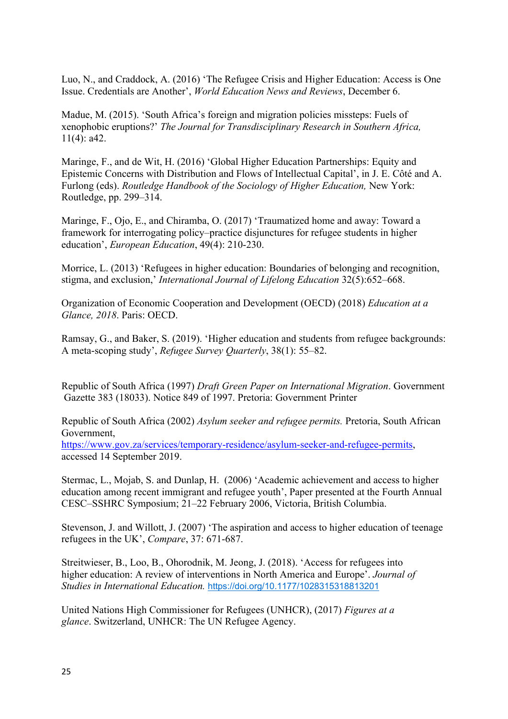Luo, N., and Craddock, A. (2016) 'The Refugee Crisis and Higher Education: Access is One Issue. Credentials are Another', *World Education News and Reviews*, December 6.

Madue, M. (2015). 'South Africa's foreign and migration policies missteps: Fuels of xenophobic eruptions?' *The Journal for Transdisciplinary Research in Southern Africa,* 11(4): a42.

Maringe, F., and de Wit, H. (2016) 'Global Higher Education Partnerships: Equity and Epistemic Concerns with Distribution and Flows of Intellectual Capital', in J. E. Côté and A. Furlong (eds). *Routledge Handbook of the Sociology of Higher Education,* New York: Routledge, pp. 299–314.

Maringe, F., Ojo, E., and Chiramba, O. (2017) 'Traumatized home and away: Toward a framework for interrogating policy–practice disjunctures for refugee students in higher education', *European Education*, 49(4): 210-230.

Morrice, L. (2013) 'Refugees in higher education: Boundaries of belonging and recognition, stigma, and exclusion,' *International Journal of Lifelong Education* 32(5):652–668.

Organization of Economic Cooperation and Development (OECD) (2018) *Education at a Glance, 2018*. Paris: OECD.

Ramsay, G., and Baker, S. (2019). 'Higher education and students from refugee backgrounds: A meta-scoping study', *Refugee Survey Quarterly*, 38(1): 55–82.

Republic of South Africa (1997) *Draft Green Paper on International Migration*. Government Gazette 383 (18033). Notice 849 of 1997. Pretoria: Government Printer

Republic of South Africa (2002) *Asylum seeker and refugee permits.* Pretoria, South African Government,

https://www.gov.za/services/temporary-residence/asylum-seeker-and-refugee-permits, accessed 14 September 2019.

Stermac, L., Mojab, S. and Dunlap, H. (2006) 'Academic achievement and access to higher education among recent immigrant and refugee youth', Paper presented at the Fourth Annual CESC–SSHRC Symposium; 21–22 February 2006, Victoria, British Columbia.

Stevenson, J. and Willott, J. (2007) 'The aspiration and access to higher education of teenage refugees in the UK', *Compare*, 37: 671-687.

Streitwieser, B., Loo, B., Ohorodnik, M. Jeong, J. (2018). 'Access for refugees into higher education: A review of interventions in North America and Europe'. *Journal of Studies in International Education.* https://doi.org/10.1177/1028315318813201

United Nations High Commissioner for Refugees (UNHCR), (2017) *Figures at a glance*. Switzerland, UNHCR: The UN Refugee Agency.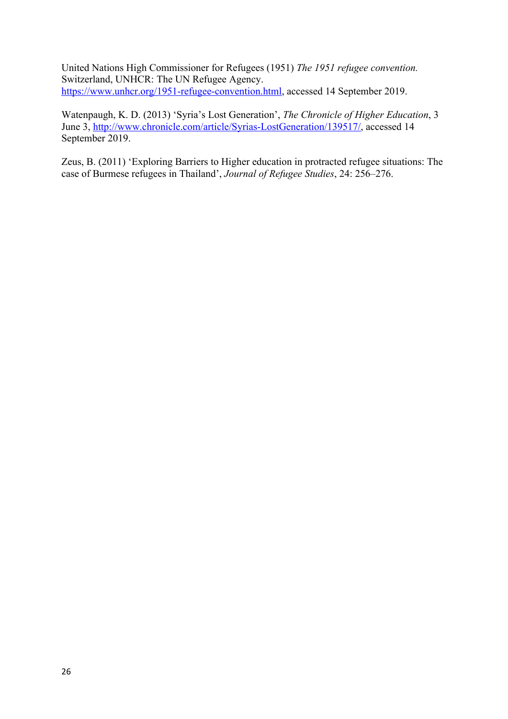United Nations High Commissioner for Refugees (1951) *The 1951 refugee convention.*  Switzerland, UNHCR: The UN Refugee Agency. https://www.unhcr.org/1951-refugee-convention.html, accessed 14 September 2019.

Watenpaugh, K. D. (2013) 'Syria's Lost Generation', *The Chronicle of Higher Education*, 3 June 3, http://www.chronicle.com/article/Syrias-LostGeneration/139517/, accessed 14 September 2019.

Zeus, B. (2011) 'Exploring Barriers to Higher education in protracted refugee situations: The case of Burmese refugees in Thailand', *Journal of Refugee Studies*, 24: 256–276.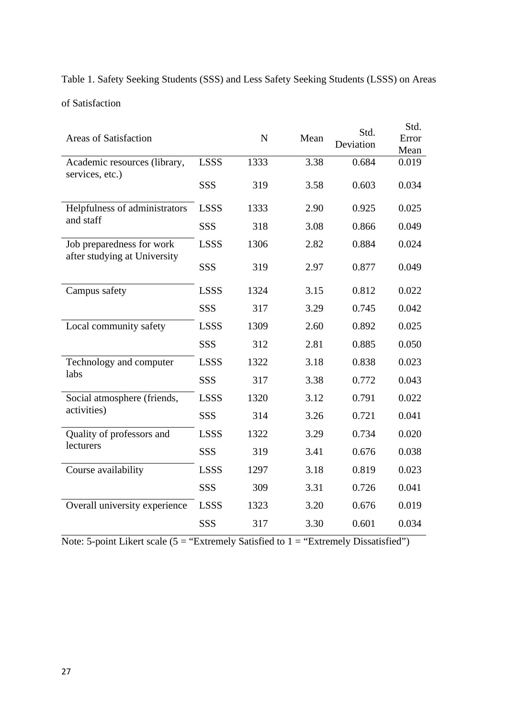Table 1. Safety Seeking Students (SSS) and Less Safety Seeking Students (LSSS) on Areas of Satisfaction

| <b>Areas of Satisfaction</b>                              |             | $\mathbf N$ | Mean | Std.<br>Deviation | Std.<br>Error<br>Mean |
|-----------------------------------------------------------|-------------|-------------|------|-------------------|-----------------------|
| Academic resources (library,<br>services, etc.)           | <b>LSSS</b> | 1333        | 3.38 | 0.684             | 0.019                 |
|                                                           | SSS         | 319         | 3.58 | 0.603             | 0.034                 |
| Helpfulness of administrators<br>and staff                | <b>LSSS</b> | 1333        | 2.90 | 0.925             | 0.025                 |
|                                                           | <b>SSS</b>  | 318         | 3.08 | 0.866             | 0.049                 |
| Job preparedness for work<br>after studying at University | <b>LSSS</b> | 1306        | 2.82 | 0.884             | 0.024                 |
|                                                           | SSS         | 319         | 2.97 | 0.877             | 0.049                 |
| Campus safety                                             | <b>LSSS</b> | 1324        | 3.15 | 0.812             | 0.022                 |
|                                                           | SSS         | 317         | 3.29 | 0.745             | 0.042                 |
| Local community safety                                    | <b>LSSS</b> | 1309        | 2.60 | 0.892             | 0.025                 |
|                                                           | SSS         | 312         | 2.81 | 0.885             | 0.050                 |
| Technology and computer<br>labs                           | <b>LSSS</b> | 1322        | 3.18 | 0.838             | 0.023                 |
|                                                           | <b>SSS</b>  | 317         | 3.38 | 0.772             | 0.043                 |
| Social atmosphere (friends,<br>activities)                | <b>LSSS</b> | 1320        | 3.12 | 0.791             | 0.022                 |
|                                                           | SSS         | 314         | 3.26 | 0.721             | 0.041                 |
| Quality of professors and<br>lecturers                    | <b>LSSS</b> | 1322        | 3.29 | 0.734             | 0.020                 |
|                                                           | SSS         | 319         | 3.41 | 0.676             | 0.038                 |
| Course availability                                       | <b>LSSS</b> | 1297        | 3.18 | 0.819             | 0.023                 |
|                                                           | SSS         | 309         | 3.31 | 0.726             | 0.041                 |
| Overall university experience                             | <b>LSSS</b> | 1323        | 3.20 | 0.676             | 0.019                 |
|                                                           | SSS         | 317         | 3.30 | 0.601             | 0.034                 |

Note: 5-point Likert scale (5 = "Extremely Satisfied to 1 = "Extremely Dissatisfied")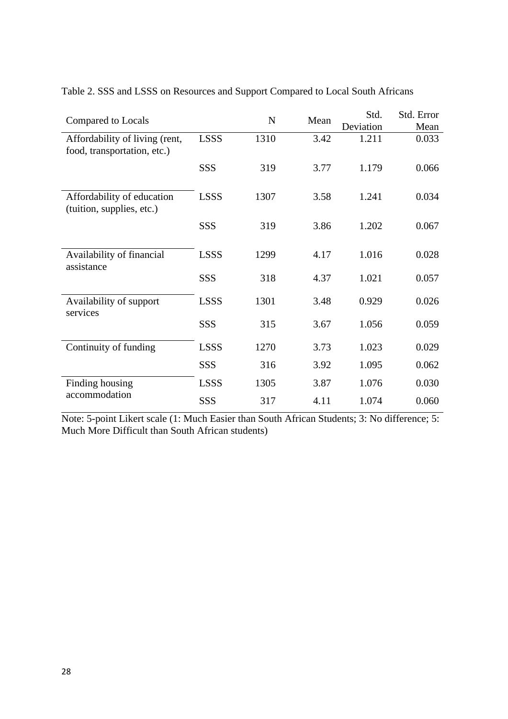| Compared to Locals                                            |             | N    | Mean | Std.      | Std. Error |
|---------------------------------------------------------------|-------------|------|------|-----------|------------|
|                                                               |             |      |      | Deviation | Mean       |
| Affordability of living (rent,<br>food, transportation, etc.) | <b>LSSS</b> | 1310 | 3.42 | 1.211     | 0.033      |
|                                                               | SSS         | 319  | 3.77 | 1.179     | 0.066      |
| Affordability of education<br>(tuition, supplies, etc.)       | <b>LSSS</b> | 1307 | 3.58 | 1.241     | 0.034      |
|                                                               | SSS         | 319  | 3.86 | 1.202     | 0.067      |
| Availability of financial<br>assistance                       | <b>LSSS</b> | 1299 | 4.17 | 1.016     | 0.028      |
|                                                               | SSS         | 318  | 4.37 | 1.021     | 0.057      |
| Availability of support<br>services                           | <b>LSSS</b> | 1301 | 3.48 | 0.929     | 0.026      |
|                                                               | SSS         | 315  | 3.67 | 1.056     | 0.059      |
| Continuity of funding                                         | <b>LSSS</b> | 1270 | 3.73 | 1.023     | 0.029      |
|                                                               | SSS         | 316  | 3.92 | 1.095     | 0.062      |
| Finding housing<br>accommodation                              | <b>LSSS</b> | 1305 | 3.87 | 1.076     | 0.030      |
|                                                               | SSS         | 317  | 4.11 | 1.074     | 0.060      |

Table 2. SSS and LSSS on Resources and Support Compared to Local South Africans

Note: 5-point Likert scale (1: Much Easier than South African Students; 3: No difference; 5: Much More Difficult than South African students)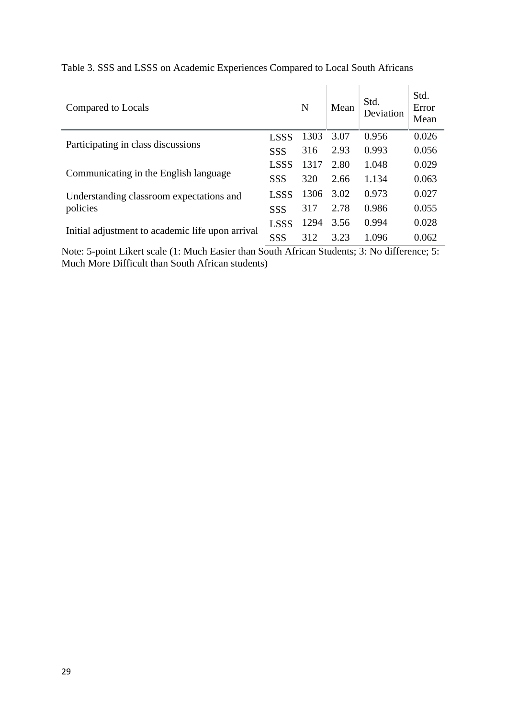| Compared to Locals                               |             | N    | Mean | Std.<br>Deviation | Std.<br>Error<br>Mean |
|--------------------------------------------------|-------------|------|------|-------------------|-----------------------|
| Participating in class discussions               |             | 1303 | 3.07 | 0.956             | 0.026                 |
|                                                  |             | 316  | 2.93 | 0.993             | 0.056                 |
| Communicating in the English language            |             | 1317 | 2.80 | 1.048             | 0.029                 |
|                                                  |             | 320  | 2.66 | 1.134             | 0.063                 |
| Understanding classroom expectations and         |             | 1306 | 3.02 | 0.973             | 0.027                 |
| policies                                         | SSS         | 317  | 2.78 | 0.986             | 0.055                 |
|                                                  | <b>LSSS</b> | 1294 | 3.56 | 0.994             | 0.028                 |
| Initial adjustment to academic life upon arrival |             | 312  | 3.23 | 1.096             | 0.062                 |

Table 3. SSS and LSSS on Academic Experiences Compared to Local South Africans

Note: 5-point Likert scale (1: Much Easier than South African Students; 3: No difference; 5: Much More Difficult than South African students)